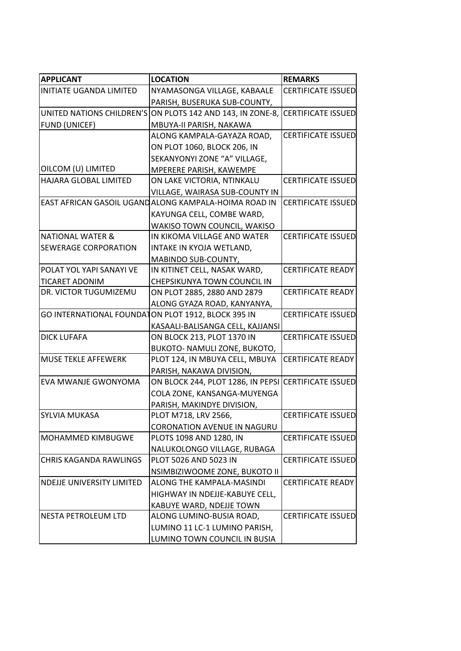| <b>APPLICANT</b>                                   | <b>LOCATION</b>                                            | <b>REMARKS</b>            |
|----------------------------------------------------|------------------------------------------------------------|---------------------------|
| <b>INITIATE UGANDA LIMITED</b>                     | NYAMASONGA VILLAGE, KABAALE                                | <b>CERTIFICATE ISSUED</b> |
|                                                    | PARISH, BUSERUKA SUB-COUNTY,                               |                           |
|                                                    | UNITED NATIONS CHILDREN'S ON PLOTS 142 AND 143, IN ZONE-8, | <b>CERTIFICATE ISSUED</b> |
| <b>FUND (UNICEF)</b>                               | MBUYA-II PARISH, NAKAWA                                    |                           |
|                                                    | ALONG KAMPALA-GAYAZA ROAD,                                 | <b>CERTIFICATE ISSUED</b> |
|                                                    | ON PLOT 1060, BLOCK 206, IN                                |                           |
|                                                    | SEKANYONYI ZONE "A" VILLAGE,                               |                           |
| OILCOM (U) LIMITED                                 | MPERERE PARISH, KAWEMPE                                    |                           |
| HAJARA GLOBAL LIMITED                              | ON LAKE VICTORIA, NTINKALU                                 | <b>CERTIFICATE ISSUED</b> |
|                                                    | VILLAGE, WAIRASA SUB-COUNTY IN                             |                           |
|                                                    | EAST AFRICAN GASOIL UGANDALONG KAMPALA-HOIMA ROAD IN       | <b>CERTIFICATE ISSUED</b> |
|                                                    | KAYUNGA CELL, COMBE WARD,                                  |                           |
|                                                    | WAKISO TOWN COUNCIL, WAKISO                                |                           |
| <b>NATIONAL WATER &amp;</b>                        | IN KIKOMA VILLAGE AND WATER                                | <b>CERTIFICATE ISSUED</b> |
| <b>SEWERAGE CORPORATION</b>                        | INTAKE IN KYOJA WETLAND,                                   |                           |
|                                                    | MABINDO SUB-COUNTY,                                        |                           |
| POLAT YOL YAPI SANAYI VE                           | IN KITINET CELL, NASAK WARD,                               | <b>CERTIFICATE READY</b>  |
| <b>TICARET ADONIM</b>                              | CHEPSIKUNYA TOWN COUNCIL IN                                |                           |
| DR. VICTOR TUGUMIZEMU                              | ON PLOT 2885, 2880 AND 2879                                | <b>CERTIFICATE READY</b>  |
|                                                    | ALONG GYAZA ROAD, KANYANYA,                                |                           |
| GO INTERNATIONAL FOUNDATON PLOT 1912, BLOCK 395 IN |                                                            | <b>CERTIFICATE ISSUED</b> |
|                                                    | KASAALI-BALISANGA CELL, KAJJANSI                           |                           |
| <b>DICK LUFAFA</b>                                 | ON BLOCK 213, PLOT 1370 IN                                 | <b>CERTIFICATE ISSUED</b> |
|                                                    | BUKOTO- NAMULI ZONE, BUKOTO,                               |                           |
| <b>MUSE TEKLE AFFEWERK</b>                         | PLOT 124, IN MBUYA CELL, MBUYA                             | <b>CERTIFICATE READY</b>  |
|                                                    | PARISH, NAKAWA DIVISION,                                   |                           |
| EVA MWANJE GWONYOMA                                | ON BLOCK 244, PLOT 1286, IN PEPSI CERTIFICATE ISSUED       |                           |
|                                                    | COLA ZONE, KANSANGA-MUYENGA                                |                           |
|                                                    | PARISH, MAKINDYE DIVISION,                                 |                           |
| <b>SYLVIA MUKASA</b>                               | PLOT M718, LRV 2566,                                       | <b>CERTIFICATE ISSUED</b> |
|                                                    | <b>CORONATION AVENUE IN NAGURU</b>                         |                           |
| <b>MOHAMMED KIMBUGWE</b>                           | PLOTS 1098 AND 1280, IN                                    | <b>CERTIFICATE ISSUED</b> |
|                                                    | NALUKOLONGO VILLAGE, RUBAGA                                |                           |
| <b>CHRIS KAGANDA RAWLINGS</b>                      | PLOT 5026 AND 5023 IN                                      | <b>CERTIFICATE ISSUED</b> |
|                                                    | NSIMBIZIWOOME ZONE, BUKOTO II                              |                           |
| NDEJJE UNIVERSITY LIMITED                          | ALONG THE KAMPALA-MASINDI                                  | <b>CERTIFICATE READY</b>  |
|                                                    | HIGHWAY IN NDEJJE-KABUYE CELL,                             |                           |
|                                                    | KABUYE WARD, NDEJJE TOWN                                   |                           |
| NESTA PETROLEUM LTD                                | ALONG LUMINO-BUSIA ROAD,                                   | <b>CERTIFICATE ISSUED</b> |
|                                                    | LUMINO 11 LC-1 LUMINO PARISH,                              |                           |
|                                                    | LUMINO TOWN COUNCIL IN BUSIA                               |                           |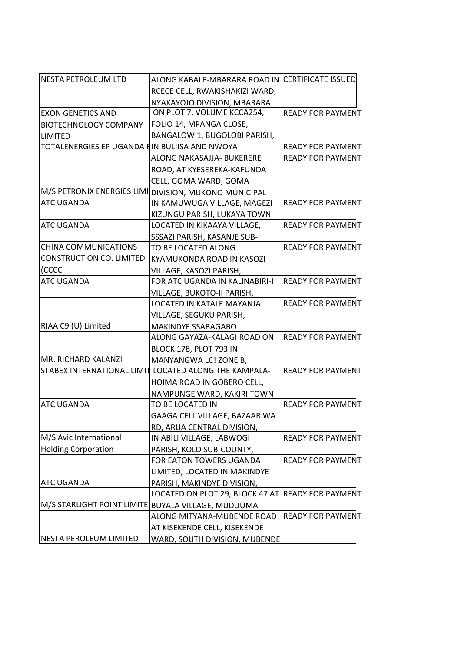| <b>NESTA PETROLEUM LTD</b>                         | ALONG KABALE-MBARARA ROAD IN CERTIFICATE ISSUED       |                          |
|----------------------------------------------------|-------------------------------------------------------|--------------------------|
|                                                    | RCECE CELL, RWAKISHAKIZI WARD,                        |                          |
|                                                    | NYAKAYOJO DIVISION, MBARARA                           |                          |
| <b>EXON GENETICS AND</b>                           | ON PLOT 7, VOLUME KCCA254,                            | <b>READY FOR PAYMENT</b> |
| <b>BIOTECHNOLOGY COMPANY</b>                       | FOLIO 14, MPANGA CLOSE,                               |                          |
| <b>LIMITED</b>                                     | BANGALOW 1, BUGOLOBI PARISH,                          |                          |
| TOTALENERGIES EP UGANDA EIN BULIISA AND NWOYA      |                                                       | <b>READY FOR PAYMENT</b> |
|                                                    | ALONG NAKASAJJA- BUKERERE                             | <b>READY FOR PAYMENT</b> |
|                                                    | ROAD, AT KYESEREKA-KAFUNDA                            |                          |
|                                                    | CELL, GOMA WARD, GOMA                                 |                          |
|                                                    | M/S PETRONIX ENERGIES LIMI DIVISION, MUKONO MUNICIPAL |                          |
| <b>ATC UGANDA</b>                                  | IN KAMUWUGA VILLAGE, MAGEZI                           | <b>READY FOR PAYMENT</b> |
|                                                    | KIZUNGU PARISH, LUKAYA TOWN                           |                          |
| <b>ATC UGANDA</b>                                  | LOCATED IN KIKAAYA VILLAGE,                           | <b>READY FOR PAYMENT</b> |
|                                                    | SSSAZI PARISH, KASANJE SUB-                           |                          |
| <b>CHINA COMMUNICATIONS</b>                        | TO BE LOCATED ALONG                                   | <b>READY FOR PAYMENT</b> |
| <b>CONSTRUCTION CO. LIMITED</b>                    | KYAMUKONDA ROAD IN KASOZI                             |                          |
| (CCCC                                              | VILLAGE, KASOZI PARISH,                               |                          |
| <b>ATC UGANDA</b>                                  | FOR ATC UGANDA IN KALINABIRI-I                        | <b>READY FOR PAYMENT</b> |
|                                                    | VILLAGE, BUKOTO-II PARISH,                            |                          |
|                                                    | LOCATED IN KATALE MAYANJA                             | <b>READY FOR PAYMENT</b> |
|                                                    | VILLAGE, SEGUKU PARISH,                               |                          |
| RIAA C9 (U) Limited                                | MAKINDYE SSABAGABO                                    |                          |
|                                                    | ALONG GAYAZA-KALAGI ROAD ON                           | <b>READY FOR PAYMENT</b> |
|                                                    | BLOCK 178, PLOT 793 IN                                |                          |
| MR. RICHARD KALANZI                                | MANYANGWA LC! ZONE B,                                 |                          |
|                                                    | STABEX INTERNATIONAL LIMIT LOCATED ALONG THE KAMPALA- | <b>READY FOR PAYMENT</b> |
|                                                    | HOIMA ROAD IN GOBERO CELL,                            |                          |
|                                                    | NAMPUNGE WARD, KAKIRI TOWN                            |                          |
| <b>ATC UGANDA</b>                                  | TO BE LOCATED IN                                      | <b>READY FOR PAYMENT</b> |
|                                                    | GAAGA CELL VILLAGE, BAZAAR WA                         |                          |
|                                                    | RD, ARUA CENTRAL DIVISION,                            |                          |
| M/S Avic International                             | IN ABILI VILLAGE, LABWOGI                             | <b>READY FOR PAYMENT</b> |
| <b>Holding Corporation</b>                         | PARISH, KOLO SUB-COUNTY,                              |                          |
|                                                    | FOR EATON TOWERS UGANDA                               | <b>READY FOR PAYMENT</b> |
|                                                    | LIMITED, LOCATED IN MAKINDYE                          |                          |
| ATC UGANDA                                         | PARISH, MAKINDYE DIVISION,                            |                          |
|                                                    | LOCATED ON PLOT 29, BLOCK 47 AT                       | <b>READY FOR PAYMENT</b> |
| M/S STARLIGHT POINT LIMITE BUYALA VILLAGE, MUDUUMA |                                                       |                          |
|                                                    | ALONG MITYANA-MUBENDE ROAD                            | <b>READY FOR PAYMENT</b> |
|                                                    | AT KISEKENDE CELL, KISEKENDE                          |                          |
| NESTA PEROLEUM LIMITED                             | WARD, SOUTH DIVISION, MUBENDE                         |                          |
|                                                    |                                                       |                          |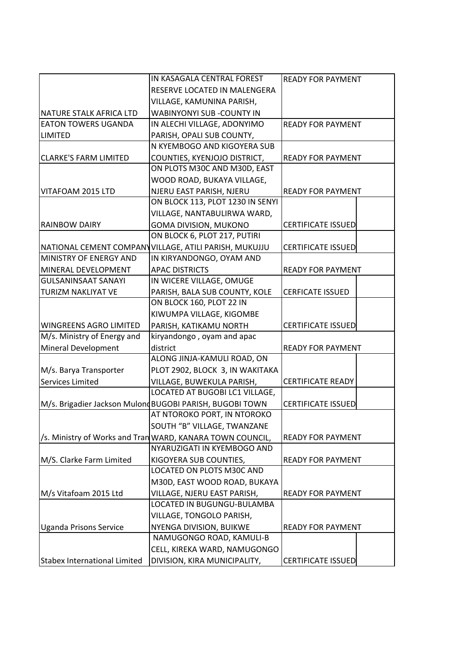|                                     | IN KASAGALA CENTRAL FOREST                                |                           |
|-------------------------------------|-----------------------------------------------------------|---------------------------|
|                                     |                                                           | <b>READY FOR PAYMENT</b>  |
|                                     | RESERVE LOCATED IN MALENGERA                              |                           |
|                                     | VILLAGE, KAMUNINA PARISH,                                 |                           |
| NATURE STALK AFRICA LTD             | WABINYONYI SUB -COUNTY IN                                 |                           |
| <b>EATON TOWERS UGANDA</b>          | IN ALECHI VILLAGE, ADONYIMO                               | <b>READY FOR PAYMENT</b>  |
| <b>LIMITED</b>                      | PARISH, OPALI SUB COUNTY,                                 |                           |
|                                     | N KYEMBOGO AND KIGOYERA SUB                               |                           |
| <b>CLARKE'S FARM LIMITED</b>        | COUNTIES, KYENJOJO DISTRICT,                              | <b>READY FOR PAYMENT</b>  |
|                                     | ON PLOTS M30C AND M30D, EAST                              |                           |
|                                     | WOOD ROAD, BUKAYA VILLAGE,                                |                           |
| VITAFOAM 2015 LTD                   | NJERU EAST PARISH, NJERU                                  | <b>READY FOR PAYMENT</b>  |
|                                     | ON BLOCK 113, PLOT 1230 IN SENYI                          |                           |
|                                     | VILLAGE, NANTABULIRWA WARD,                               |                           |
| <b>RAINBOW DAIRY</b>                | GOMA DIVISION, MUKONO                                     | <b>CERTIFICATE ISSUED</b> |
|                                     | ON BLOCK 6, PLOT 217, PUTIRI                              |                           |
|                                     | NATIONAL CEMENT COMPANYVILLAGE, ATILI PARISH, MUKUJJU     | <b>CERTIFICATE ISSUED</b> |
| MINISTRY OF ENERGY AND              | IN KIRYANDONGO, OYAM AND                                  |                           |
| MINERAL DEVELOPMENT                 | <b>APAC DISTRICTS</b>                                     | <b>READY FOR PAYMENT</b>  |
| <b>GULSANINSAAT SANAYI</b>          | IN WICERE VILLAGE, OMUGE                                  |                           |
| <b>TURIZM NAKLIYAT VE</b>           | PARISH, BALA SUB COUNTY, KOLE                             | <b>CERFICATE ISSUED</b>   |
|                                     | ON BLOCK 160, PLOT 22 IN                                  |                           |
|                                     | KIWUMPA VILLAGE, KIGOMBE                                  |                           |
| <b>WINGREENS AGRO LIMITED</b>       | PARISH, KATIKAMU NORTH                                    | <b>CERTIFICATE ISSUED</b> |
| M/s. Ministry of Energy and         | kiryandongo, oyam and apac                                |                           |
| Mineral Development                 | district                                                  | <b>READY FOR PAYMENT</b>  |
|                                     | ALONG JINJA-KAMULI ROAD, ON                               |                           |
| M/s. Barya Transporter              | PLOT 2902, BLOCK 3, IN WAKITAKA                           |                           |
| Services Limited                    | VILLAGE, BUWEKULA PARISH,                                 | <b>CERTIFICATE READY</b>  |
|                                     | LOCATED AT BUGOBI LC1 VILLAGE,                            |                           |
|                                     | M/s. Brigadier Jackson MulondBUGOBI PARISH, BUGOBI TOWN   | <b>CERTIFICATE ISSUED</b> |
|                                     | AT NTOROKO PORT, IN NTOROKO                               |                           |
|                                     | SOUTH "B" VILLAGE, TWANZANE                               |                           |
|                                     | /s. Ministry of Works and Tran WARD, KANARA TOWN COUNCIL, | <b>READY FOR PAYMENT</b>  |
|                                     | NYARUZIGATI IN KYEMBOGO AND                               |                           |
| M/S. Clarke Farm Limited            | KIGOYERA SUB COUNTIES,                                    | <b>READY FOR PAYMENT</b>  |
|                                     | LOCATED ON PLOTS M30C AND                                 |                           |
|                                     | M30D, EAST WOOD ROAD, BUKAYA                              |                           |
| M/s Vitafoam 2015 Ltd               | VILLAGE, NJERU EAST PARISH,                               | <b>READY FOR PAYMENT</b>  |
|                                     | LOCATED IN BUGUNGU-BULAMBA                                |                           |
|                                     | VILLAGE, TONGOLO PARISH,                                  |                           |
| <b>Uganda Prisons Service</b>       | NYENGA DIVISION, BUIKWE                                   | <b>READY FOR PAYMENT</b>  |
|                                     | NAMUGONGO ROAD, KAMULI-B                                  |                           |
|                                     | CELL, KIREKA WARD, NAMUGONGO                              |                           |
|                                     |                                                           |                           |
| <b>Stabex International Limited</b> | DIVISION, KIRA MUNICIPALITY,                              | <b>CERTIFICATE ISSUED</b> |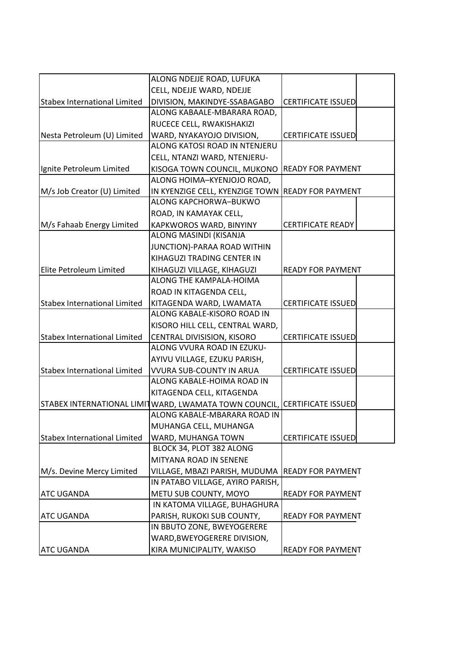|                                     | ALONG NDEJJE ROAD, LUFUKA                         |                           |
|-------------------------------------|---------------------------------------------------|---------------------------|
|                                     | CELL, NDEJJE WARD, NDEJJE                         |                           |
| <b>Stabex International Limited</b> | DIVISION, MAKINDYE-SSABAGABO                      | <b>CERTIFICATE ISSUED</b> |
|                                     | ALONG KABAALE-MBARARA ROAD,                       |                           |
|                                     | RUCECE CELL, RWAKISHAKIZI                         |                           |
| Nesta Petroleum (U) Limited         | WARD, NYAKAYOJO DIVISION,                         | <b>CERTIFICATE ISSUED</b> |
|                                     | ALONG KATOSI ROAD IN NTENJERU                     |                           |
|                                     | CELL, NTANZI WARD, NTENJERU-                      |                           |
| Ignite Petroleum Limited            | KISOGA TOWN COUNCIL, MUKONO                       | <b>READY FOR PAYMENT</b>  |
|                                     | ALONG HOIMA-KYENJOJO ROAD,                        |                           |
| M/s Job Creator (U) Limited         | IN KYENZIGE CELL, KYENZIGE TOWN READY FOR PAYMENT |                           |
|                                     | ALONG KAPCHORWA-BUKWO                             |                           |
|                                     | ROAD, IN KAMAYAK CELL,                            |                           |
| M/s Fahaab Energy Limited           | KAPKWOROS WARD, BINYINY                           | <b>CERTIFICATE READY</b>  |
|                                     | ALONG MASINDI (KISANJA                            |                           |
|                                     | JUNCTION)-PARAA ROAD WITHIN                       |                           |
|                                     | KIHAGUZI TRADING CENTER IN                        |                           |
| Elite Petroleum Limited             | KIHAGUZI VILLAGE, KIHAGUZI                        | <b>READY FOR PAYMENT</b>  |
|                                     | ALONG THE KAMPALA-HOIMA                           |                           |
|                                     | ROAD IN KITAGENDA CELL,                           |                           |
| <b>Stabex International Limited</b> | KITAGENDA WARD, LWAMATA                           | <b>CERTIFICATE ISSUED</b> |
|                                     | ALONG KABALE-KISORO ROAD IN                       |                           |
|                                     | KISORO HILL CELL, CENTRAL WARD,                   |                           |
| <b>Stabex International Limited</b> | CENTRAL DIVISISION, KISORO                        | <b>CERTIFICATE ISSUED</b> |
|                                     | ALONG VVURA ROAD IN EZUKU-                        |                           |
|                                     | AYIVU VILLAGE, EZUKU PARISH,                      |                           |
| <b>Stabex International Limited</b> | <b>VVURA SUB-COUNTY IN ARUA</b>                   | <b>CERTIFICATE ISSUED</b> |
|                                     | ALONG KABALE-HOIMA ROAD IN                        |                           |
|                                     | KITAGENDA CELL, KITAGENDA                         |                           |
| STABEX INTERNATIONAL LIMIT          | WARD, LWAMATA TOWN COUNCIL,                       | <b>CERTIFICATE ISSUED</b> |
|                                     | ALONG KABALE-MBARARA ROAD IN                      |                           |
|                                     | MUHANGA CELL, MUHANGA                             |                           |
| <b>Stabex International Limited</b> | WARD, MUHANGA TOWN                                | <b>CERTIFICATE ISSUED</b> |
|                                     | BLOCK 34, PLOT 382 ALONG                          |                           |
|                                     | MITYANA ROAD IN SENENE                            |                           |
| M/s. Devine Mercy Limited           | VILLAGE, MBAZI PARISH, MUDUMA READY FOR PAYMENT   |                           |
|                                     | IN PATABO VILLAGE, AYIRO PARISH,                  |                           |
| ATC UGANDA                          | METU SUB COUNTY, MOYO                             | <b>READY FOR PAYMENT</b>  |
|                                     | IN KATOMA VILLAGE, BUHAGHURA                      |                           |
| ATC UGANDA                          | PARISH, RUKOKI SUB COUNTY,                        | <b>READY FOR PAYMENT</b>  |
|                                     | IN BBUTO ZONE, BWEYOGERERE                        |                           |
|                                     | WARD, BWEYOGERERE DIVISION,                       |                           |
| <b>ATC UGANDA</b>                   | KIRA MUNICIPALITY, WAKISO                         | <b>READY FOR PAYMENT</b>  |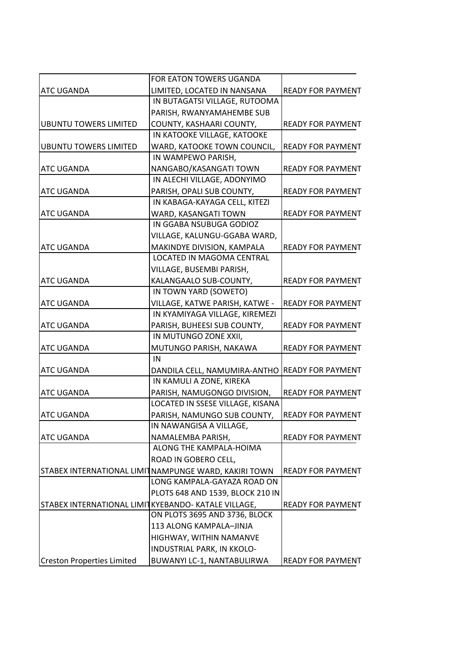|                                                     | FOR EATON TOWERS UGANDA                              |                          |
|-----------------------------------------------------|------------------------------------------------------|--------------------------|
| <b>ATC UGANDA</b>                                   | LIMITED, LOCATED IN NANSANA                          | <b>READY FOR PAYMENT</b> |
|                                                     | IN BUTAGATSI VILLAGE, RUTOOMA                        |                          |
|                                                     | PARISH, RWANYAMAHEMBE SUB                            |                          |
| <b>UBUNTU TOWERS LIMITED</b>                        | COUNTY, KASHAARI COUNTY,                             | <b>READY FOR PAYMENT</b> |
|                                                     | IN KATOOKE VILLAGE, KATOOKE                          |                          |
| <b>UBUNTU TOWERS LIMITED</b>                        | WARD, KATOOKE TOWN COUNCIL,                          | <b>READY FOR PAYMENT</b> |
|                                                     | IN WAMPEWO PARISH,                                   |                          |
| <b>ATC UGANDA</b>                                   | NANGABO/KASANGATI TOWN                               | <b>READY FOR PAYMENT</b> |
|                                                     | IN ALECHI VILLAGE, ADONYIMO                          |                          |
| <b>ATC UGANDA</b>                                   | PARISH, OPALI SUB COUNTY,                            | <b>READY FOR PAYMENT</b> |
|                                                     | IN KABAGA-KAYAGA CELL, KITEZI                        |                          |
| <b>ATC UGANDA</b>                                   | WARD, KASANGATI TOWN                                 | <b>READY FOR PAYMENT</b> |
|                                                     | IN GGABA NSUBUGA GODIOZ                              |                          |
|                                                     | VILLAGE, KALUNGU-GGABA WARD,                         |                          |
| <b>ATC UGANDA</b>                                   | MAKINDYE DIVISION, KAMPALA                           | <b>READY FOR PAYMENT</b> |
|                                                     | LOCATED IN MAGOMA CENTRAL                            |                          |
|                                                     | VILLAGE, BUSEMBI PARISH,                             |                          |
| <b>ATC UGANDA</b>                                   | KALANGAALO SUB-COUNTY,                               | <b>READY FOR PAYMENT</b> |
|                                                     | IN TOWN YARD (SOWETO)                                |                          |
| <b>ATC UGANDA</b>                                   | VILLAGE, KATWE PARISH, KATWE -                       | <b>READY FOR PAYMENT</b> |
|                                                     | IN KYAMIYAGA VILLAGE, KIREMEZI                       |                          |
| <b>ATC UGANDA</b>                                   | PARISH, BUHEESI SUB COUNTY,                          | <b>READY FOR PAYMENT</b> |
|                                                     | IN MUTUNGO ZONE XXII,                                |                          |
| <b>ATC UGANDA</b>                                   | MUTUNGO PARISH, NAKAWA                               | <b>READY FOR PAYMENT</b> |
|                                                     | IN                                                   |                          |
| <b>ATC UGANDA</b>                                   | DANDILA CELL, NAMUMIRA-ANTHO                         | <b>READY FOR PAYMENT</b> |
|                                                     | IN KAMULI A ZONE, KIREKA                             |                          |
| <b>ATC UGANDA</b>                                   | PARISH, NAMUGONGO DIVISION,                          | <b>READY FOR PAYMENT</b> |
|                                                     | LOCATED IN SSESE VILLAGE, KISANA                     |                          |
| <b>ATC UGANDA</b>                                   | PARISH, NAMUNGO SUB COUNTY,                          | <b>READY FOR PAYMENT</b> |
|                                                     | IN NAWANGISA A VILLAGE,                              |                          |
| <b>ATC UGANDA</b>                                   | NAMALEMBA PARISH,                                    | <b>READY FOR PAYMENT</b> |
|                                                     | ALONG THE KAMPALA-HOIMA                              |                          |
|                                                     | ROAD IN GOBERO CELL,                                 |                          |
|                                                     | STABEX INTERNATIONAL LIMITNAMPUNGE WARD, KAKIRI TOWN | <b>READY FOR PAYMENT</b> |
|                                                     | LONG KAMPALA-GAYAZA ROAD ON                          |                          |
|                                                     | PLOTS 648 AND 1539, BLOCK 210 IN                     |                          |
| STABEX INTERNATIONAL LIMITKYEBANDO- KATALE VILLAGE, |                                                      | <b>READY FOR PAYMENT</b> |
|                                                     | ON PLOTS 3695 AND 3736, BLOCK                        |                          |
|                                                     | 113 ALONG KAMPALA-JINJA                              |                          |
|                                                     | HIGHWAY, WITHIN NAMANVE                              |                          |
|                                                     | <b>INDUSTRIAL PARK, IN KKOLO-</b>                    |                          |
| <b>Creston Properties Limited</b>                   | BUWANYI LC-1, NANTABULIRWA                           | <b>READY FOR PAYMENT</b> |